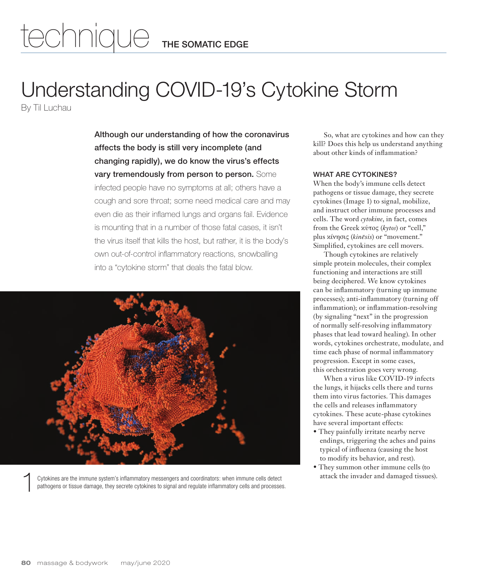# Understanding COVID-19's Cytokine Storm

By Til Luchau

Although our understanding of how the coronavirus affects the body is still very incomplete (and changing rapidly), we do know the virus's effects vary tremendously from person to person. Some infected people have no symptoms at all; others have a cough and sore throat; some need medical care and may even die as their inflamed lungs and organs fail. Evidence is mounting that in a number of those fatal cases, it isn't the virus itself that kills the host, but rather, it is the body's own out-of-control inflammatory reactions, snowballing into a "cytokine storm" that deals the fatal blow.



Cytokines are the immune system's inflammatory messengers and coordinators: when immune cells detect attack the invader and damaged tissues).<br>pathogens or tissue damage, they secrete cytokines to signal and regulate inflam

So, what are cytokines and how can they kill? Does this help us understand anything about other kinds of inflammation?

### WHAT ARE CYTOKINES?

When the body's immune cells detect pathogens or tissue damage, they secrete cytokines (Image 1) to signal, mobilize, and instruct other immune processes and cells. The word *cytokine*, in fact, comes from the Greek κύτος (*kytos*) or "cell," plus κίνησις (*kinēsis*) or "movement." Simplified, cytokines are cell movers.

Though cytokines are relatively simple protein molecules, their complex functioning and interactions are still being deciphered. We know cytokines can be inflammatory (turning up immune processes); anti-inflammatory (turning off inflammation); or inflammation-resolving (by signaling "next" in the progression of normally self-resolving inflammatory phases that lead toward healing). In other words, cytokines orchestrate, modulate, and time each phase of normal inflammatory progression. Except in some cases, this orchestration goes very wrong.

When a virus like COVID-19 infects the lungs, it hijacks cells there and turns them into virus factories. This damages the cells and releases inflammatory cytokines. These acute-phase cytokines have several important effects:

- They painfully irritate nearby nerve endings, triggering the aches and pains typical of influenza (causing the host to modify its behavior, and rest).
- They summon other immune cells (to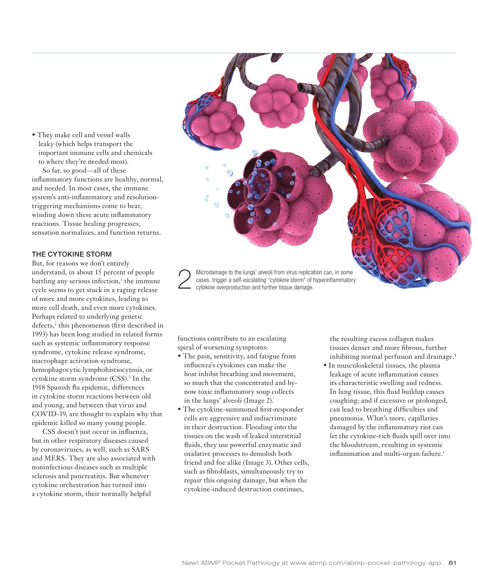• They make cell and vessel walls leaky (which helps transport the important immune cells and chemicals to where they're needed most). So far, so good—all of these inflammatory functions are healthy, normal, and needed. In most cases, the immune system's anti-inflammatory and resolutiontriggering mechanisms come to bear, winding down these acute inflammatory reactions. Tissue healing progresses, sensation normalizes, and function returns.

#### THE CYTOKINE STORM

But, for reasons we don't entirely understand, in about 15 percent of people battling any serious infection,<sup>1</sup> the immune cycle seems to get stuck in a raging release of more and more cytokines, leading to more cell death, and even more cytokines. Perhaps related to underlying genetic defects,<sup>2</sup> this phenomenon (first described in 1993) has been long studied in related forms such as systemic inflammatory response syndrome, cytokine release syndrome, macrophage activation syndrome, hemophagocytic lymphohistiocytosis, or cytokine storm syndrome (CSS).<sup>3</sup> In the 1918 Spanish flu epidemic, differences in cytokine storm reactions between old and young, and between that virus and COVID-19, are thought to explain why that epidemic killed so many young people.

CSS doesn't just occur in influenza, but in other respiratory diseases caused by coronaviruses, as well, such as SARS and MERS. They are also associated with noninfectious diseases such as multiple sclerosis and pancreatitis. But whenever cytokine orchestration has turned into a cytokine storm, their normally helpful

Microdamage to the lungs' alveoli from virus replication can, in some cases, trigger a self-escalating "cytokine storm" of hyperinflammatory cytokine overproduction and further tissue damage.

functions contribute to an escalating spiral of worsening symptoms:

- The pain, sensitivity, and fatigue from influenza's cytokines can make the host inhibit breathing and movement, so much that the concentrated and bynow toxic inflammatory soup collects in the lungs' alveoli (Image 2).
- The cytokine-summoned first-responder cells are aggressive and indiscriminate in their destruction. Flooding into the tissues on the wash of leaked interstitial fluids, they use powerful enzymatic and oxidative processes to demolish both friend and foe alike (Image 3). Other cells, such as fibroblasts, simultaneously try to repair this ongoing damage, but when the cytokine-induced destruction continues,

the resulting excess collagen makes tissues denser and more fibrous, further inhibiting normal perfusion and drainage.<sup>4</sup>

• In musculoskeletal tissues, the plasma leakage of acute inflammation causes its characteristic swelling and redness. In lung tissue, this fluid buildup causes coughing; and if excessive or prolonged, can lead to breathing difficulties and pneumonia. What's more, capillaries damaged by the inflammatory riot can let the cytokine-rich fluids spill over into the bloodstream, resulting in systemic inflammation and multi-organ failure.<sup>5</sup>